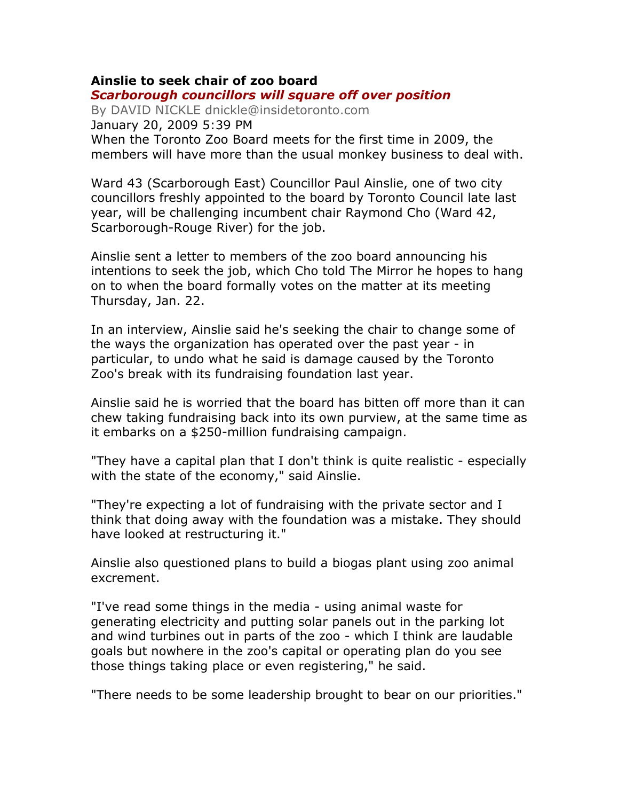## Ainslie to seek chair of zoo board Scarborough councillors will square off over position

By DAVID NICKLE dnickle@insidetoronto.com January 20, 2009 5:39 PM When the Toronto Zoo Board meets for the first time in 2009, the members will have more than the usual monkey business to deal with.

Ward 43 (Scarborough East) Councillor Paul Ainslie, one of two city councillors freshly appointed to the board by Toronto Council late last year, will be challenging incumbent chair Raymond Cho (Ward 42, Scarborough-Rouge River) for the job.

Ainslie sent a letter to members of the zoo board announcing his intentions to seek the job, which Cho told The Mirror he hopes to hang on to when the board formally votes on the matter at its meeting Thursday, Jan. 22.

In an interview, Ainslie said he's seeking the chair to change some of the ways the organization has operated over the past year - in particular, to undo what he said is damage caused by the Toronto Zoo's break with its fundraising foundation last year.

Ainslie said he is worried that the board has bitten off more than it can chew taking fundraising back into its own purview, at the same time as it embarks on a \$250-million fundraising campaign.

"They have a capital plan that I don't think is quite realistic - especially with the state of the economy," said Ainslie.

"They're expecting a lot of fundraising with the private sector and I think that doing away with the foundation was a mistake. They should have looked at restructuring it."

Ainslie also questioned plans to build a biogas plant using zoo animal excrement.

"I've read some things in the media - using animal waste for generating electricity and putting solar panels out in the parking lot and wind turbines out in parts of the zoo - which I think are laudable goals but nowhere in the zoo's capital or operating plan do you see those things taking place or even registering," he said.

"There needs to be some leadership brought to bear on our priorities."